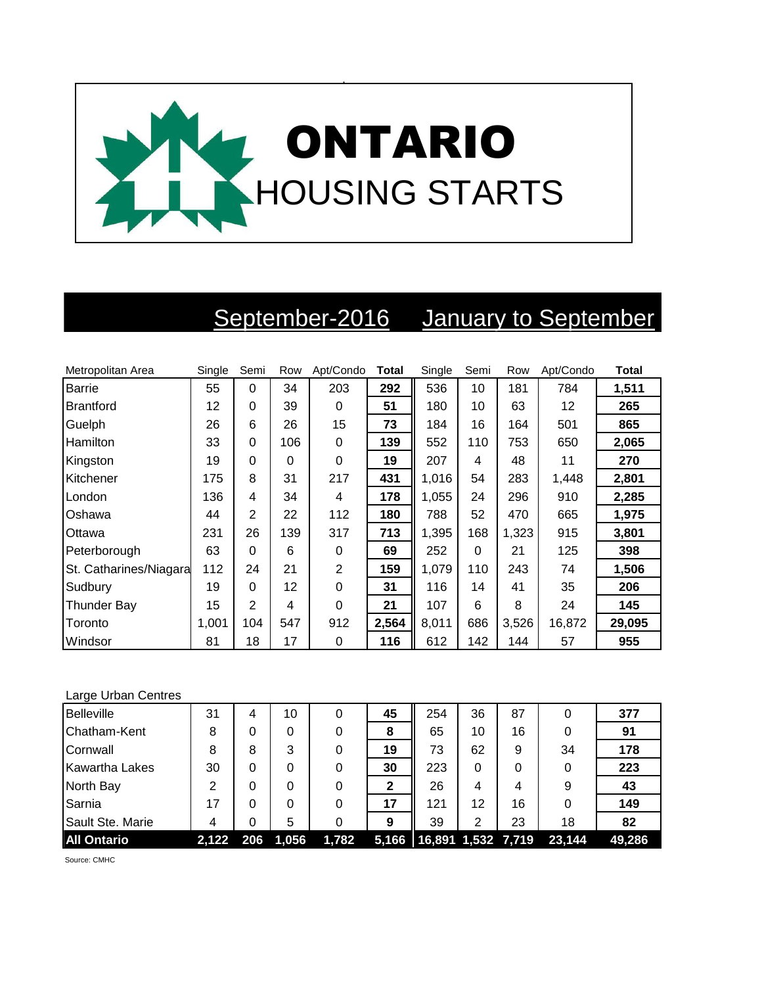

## September-2016 January to September

| Metropolitan Area      | Single | Semi           | Row | Apt/Condo | <b>Total</b> | Single | Semi     | Row   | Apt/Condo | <b>Total</b> |
|------------------------|--------|----------------|-----|-----------|--------------|--------|----------|-------|-----------|--------------|
| <b>Barrie</b>          | 55     | $\Omega$       | 34  | 203       | 292          | 536    | 10       | 181   | 784       | 1,511        |
| <b>Brantford</b>       | 12     | $\Omega$       | 39  | 0         | 51           | 180    | 10       | 63    | 12        | 265          |
| Guelph                 | 26     | 6              | 26  | 15        | 73           | 184    | 16       | 164   | 501       | 865          |
| Hamilton               | 33     | $\Omega$       | 106 | $\Omega$  | 139          | 552    | 110      | 753   | 650       | 2,065        |
| Kingston               | 19     | 0              | 0   | $\Omega$  | 19           | 207    | 4        | 48    | 11        | 270          |
| Kitchener              | 175    | 8              | 31  | 217       | 431          | 1,016  | 54       | 283   | 1,448     | 2,801        |
| London                 | 136    | 4              | 34  | 4         | 178          | 1,055  | 24       | 296   | 910       | 2,285        |
| Oshawa                 | 44     | $\overline{2}$ | 22  | 112       | 180          | 788    | 52       | 470   | 665       | 1,975        |
| Ottawa                 | 231    | 26             | 139 | 317       | 713          | 1,395  | 168      | 1,323 | 915       | 3,801        |
| Peterborough           | 63     | $\Omega$       | 6   | 0         | 69           | 252    | $\Omega$ | 21    | 125       | 398          |
| St. Catharines/Niagara | 112    | 24             | 21  | 2         | 159          | 1,079  | 110      | 243   | 74        | 1,506        |
| Sudbury                | 19     | $\Omega$       | 12  | $\Omega$  | 31           | 116    | 14       | 41    | 35        | 206          |
| <b>Thunder Bay</b>     | 15     | 2              | 4   | 0         | 21           | 107    | 6        | 8     | 24        | 145          |
| Toronto                | 1,001  | 104            | 547 | 912       | 2,564        | 8,011  | 686      | 3,526 | 16,872    | 29,095       |
| Windsor                | 81     | 18             | 17  | 0         | 116          | 612    | 142      | 144   | 57        | 955          |

## Large Urban Centres

| <b>Belleville</b>     | 31    | 4   | 10    | 0     | 45 | 254                        | 36 | 87 | 0      | 377    |
|-----------------------|-------|-----|-------|-------|----|----------------------------|----|----|--------|--------|
| Chatham-Kent          | 8     | 0   | 0     | 0     | 8  | 65                         | 10 | 16 | 0      | 91     |
| Cornwall              | 8     | 8   | 3     | 0     | 19 | 73                         | 62 | 9  | 34     | 178    |
| <b>Kawartha Lakes</b> | 30    | 0   | 0     |       | 30 | 223                        | 0  |    | 0      | 223    |
| North Bay             | 2     | 0   | 0     |       | 2  | 26                         | 4  | 4  | 9      | 43     |
| Sarnia                | 17    | 0   | 0     | 0     | 17 | 121                        | 12 | 16 | 0      | 149    |
| Sault Ste. Marie      | 4     | 0   | 5     |       | 9  | 39                         | 2  | 23 | 18     | 82     |
| <b>All Ontario</b>    | 2,122 | 206 | 1,056 | 1,782 |    | 5,166   16,891 1,532 7,719 |    |    | 23,144 | 49,286 |

Source: CMHC